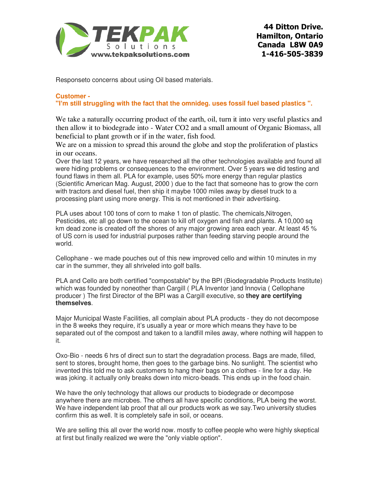

**44 Ditton Drive. Hamilton, Ontario Canada L8W 0A9 1-416-505-3839**

Responseto concerns about using Oil based materials.

## **Customer -**

**"I'm still struggling with the fact that the omnideg. uses fossil fuel based plastics ".**

We take a naturally occurring product of the earth, oil, turn it into very useful plastics and then allow it to biodegrade into - Water CO2 and a small amount of Organic Biomass, all beneficial to plant growth or if in the water, fish food.

We are on a mission to spread this around the globe and stop the proliferation of plastics in our oceans.

Over the last 12 years, we have researched all the other technologies available and found all were hiding problems or consequences to the environment. Over 5 years we did testing and found flaws in them all. PLA for example, uses 50% more energy than regular plastics (Scientific American Mag. August, 2000 ) due to the fact that someone has to grow the corn with tractors and diesel fuel, then ship it maybe 1000 miles away by diesel truck to a processing plant using more energy. This is not mentioned in their advertising.

PLA uses about 100 tons of corn to make 1 ton of plastic. The chemicals,Nitrogen, Pesticides, etc all go down to the ocean to kill off oxygen and fish and plants. A 10,000 sq km dead zone is created off the shores of any major growing area each year. At least 45 % of US corn is used for industrial purposes rather than feeding starving people around the world.

Cellophane - we made pouches out of this new improved cello and within 10 minutes in my car in the summer, they all shriveled into golf balls.

PLA and Cello are both certified "compostable" by the BPI (Biodegradable Products Institute) which was founded by noneother than Cargill ( PLA Inventor )and Innovia ( Cellophane producer ) The first Director of the BPI was a Cargill executive, so **they are certifying themselves**.

Major Municipal Waste Facilities, all complain about PLA products - they do not decompose in the 8 weeks they require, it's usually a year or more which means they have to be separated out of the compost and taken to a landfill miles away, where nothing will happen to it.

Oxo-Bio - needs 6 hrs of direct sun to start the degradation process. Bags are made, filled, sent to stores, brought home, then goes to the garbage bins. No sunlight. The scientist who invented this told me to ask customers to hang their bags on a clothes - line for a day. He was joking. it actually only breaks down into micro-beads. This ends up in the food chain.

We have the only technology that allows our products to biodegrade or decompose anywhere there are microbes. The others all have specific conditions, PLA being the worst. We have independent lab proof that all our products work as we say.Two university studies confirm this as well. It is completely safe in soil, or oceans.

We are selling this all over the world now. mostly to coffee people who were highly skeptical at first but finally realized we were the "only viable option".